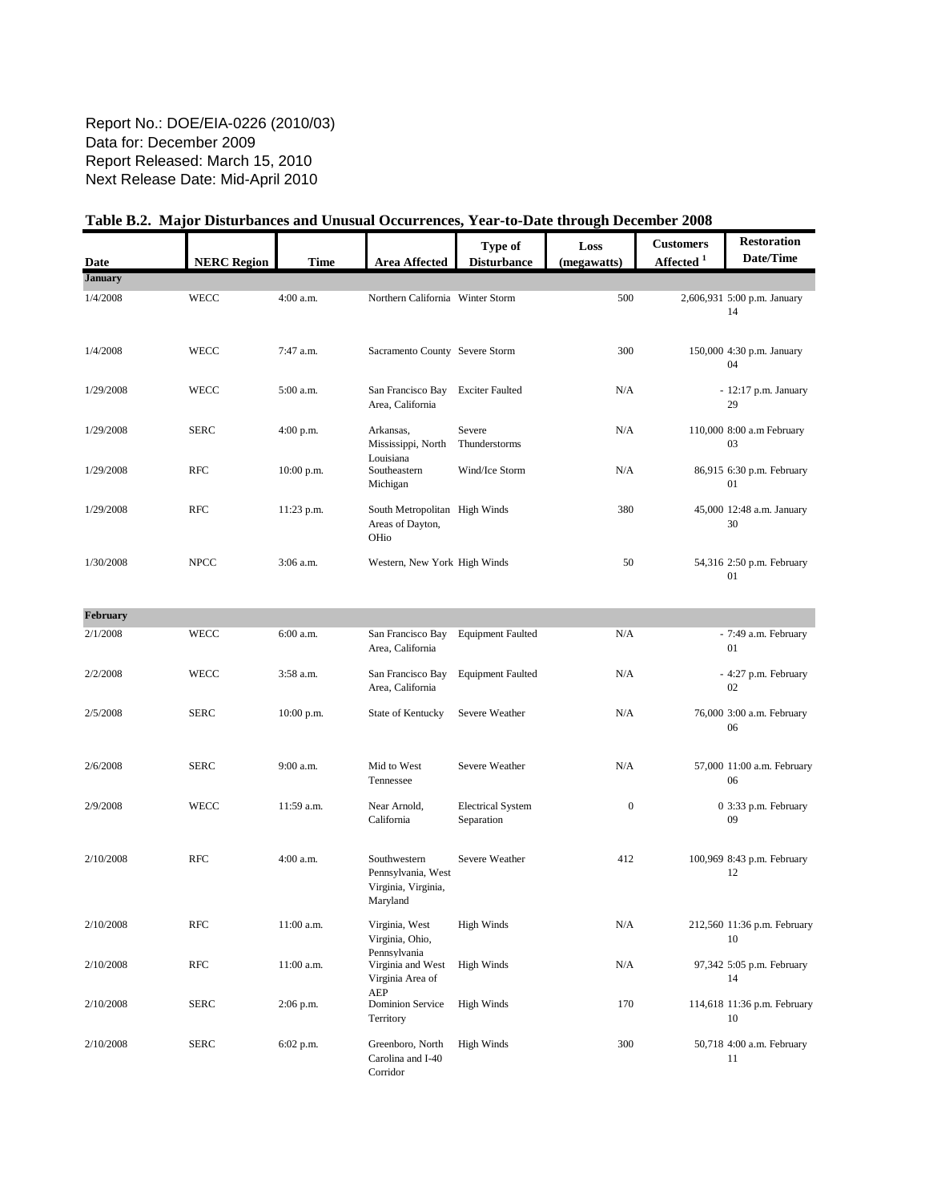#### Report No.: DOE/EIA-0226 (2010/03) Data for: December 2009 Report Released: March 15, 2010 Next Release Date: Mid-April 2010

| Date            | <b>NERC Region</b> | <b>Time</b>  | <b>Area Affected</b>                                      | Type of<br><b>Disturbance</b> | Loss<br>(megawatts) | <b>Customers</b><br>Affected <sup>1</sup> | <b>Restoration</b><br>Date/Time   |
|-----------------|--------------------|--------------|-----------------------------------------------------------|-------------------------------|---------------------|-------------------------------------------|-----------------------------------|
| <b>January</b>  |                    |              |                                                           |                               |                     |                                           |                                   |
| 1/4/2008        | <b>WECC</b>        | $4:00$ a.m.  | Northern California Winter Storm                          |                               | 500                 |                                           | 2,606,931 5:00 p.m. January<br>14 |
| 1/4/2008        | <b>WECC</b>        | 7:47 a.m.    | Sacramento County Severe Storm                            |                               | 300                 |                                           | 150,000 4:30 p.m. January<br>04   |
| 1/29/2008       | <b>WECC</b>        | 5:00 a.m.    | San Francisco Bay<br>Area, California                     | <b>Exciter Faulted</b>        | N/A                 |                                           | $-12:17$ p.m. January<br>29       |
| 1/29/2008       | <b>SERC</b>        | $4:00$ p.m.  | Arkansas,<br>Mississippi, North                           | Severe<br>Thunderstorms       | N/A                 |                                           | 110,000 8:00 a.m February<br>03   |
| 1/29/2008       | <b>RFC</b>         | $10:00$ p.m. | Louisiana<br>Southeastern<br>Michigan                     | Wind/Ice Storm                | N/A                 |                                           | 86,915 6:30 p.m. February<br>01   |
| 1/29/2008       | <b>RFC</b>         | 11:23 p.m.   | South Metropolitan High Winds<br>Areas of Dayton,<br>OHio |                               | 380                 |                                           | 45,000 12:48 a.m. January<br>30   |
| 1/30/2008       | <b>NPCC</b>        | $3:06$ a.m.  | Western, New York High Winds                              |                               | 50                  |                                           | 54,316 2:50 p.m. February<br>01   |
| <b>February</b> |                    |              |                                                           |                               |                     |                                           |                                   |
| 2/1/2008        | <b>WECC</b>        | 6:00 a.m.    | San Francisco Bay<br>Area, California                     | <b>Equipment Faulted</b>      | N/A                 |                                           | - 7:49 a.m. February<br>01        |
| 2/2/2008        | <b>WECC</b>        | 3:58 a.m.    | San Francisco Bay<br>Area, California                     | <b>Equipment Faulted</b>      | N/A                 |                                           | - 4:27 p.m. February<br>02        |
| 2/5/2008        | <b>SERC</b>        | $10:00$ p.m. | State of Kentucky                                         | Severe Weather                | N/A                 |                                           | 76,000 3:00 a.m. February<br>06   |
| 2/6/2008        | <b>SERC</b>        | 9:00 a.m.    | Mid to West                                               | Severe Weather                | N/A                 |                                           | 57,000 11:00 a.m. February        |

# Table B.2. Major Disturbances and Unusual Occurrences, Year-to-Date through December 2008

| <b>February</b> |             |              |                                                                       |                                        |              |                                   |
|-----------------|-------------|--------------|-----------------------------------------------------------------------|----------------------------------------|--------------|-----------------------------------|
| 2/1/2008        | <b>WECC</b> | 6:00 a.m.    | San Francisco Bay<br>Area, California                                 | <b>Equipment Faulted</b>               | N/A          | - 7:49 a.m. February<br>01        |
| 2/2/2008        | <b>WECC</b> | 3:58 a.m.    | San Francisco Bay<br>Area, California                                 | <b>Equipment Faulted</b>               | N/A          | - 4:27 p.m. February<br>02        |
| 2/5/2008        | <b>SERC</b> | $10:00$ p.m. | State of Kentucky                                                     | Severe Weather                         | N/A          | 76,000 3:00 a.m. February<br>06   |
| 2/6/2008        | <b>SERC</b> | $9:00$ a.m.  | Mid to West<br>Tennessee                                              | Severe Weather                         | N/A          | 57,000 11:00 a.m. February<br>06  |
| 2/9/2008        | <b>WECC</b> | 11:59 a.m.   | Near Arnold,<br>California                                            | <b>Electrical System</b><br>Separation | $\mathbf{0}$ | 0 3:33 p.m. February<br>09        |
| 2/10/2008       | <b>RFC</b>  | $4:00$ a.m.  | Southwestern<br>Pennsylvania, West<br>Virginia, Virginia,<br>Maryland | Severe Weather                         | 412          | 100,969 8:43 p.m. February<br>12  |
| 2/10/2008       | <b>RFC</b>  | $11:00$ a.m. | Virginia, West<br>Virginia, Ohio,<br>Pennsylvania                     | High Winds                             | N/A          | 212,560 11:36 p.m. February<br>10 |
| 2/10/2008       | <b>RFC</b>  | $11:00$ a.m. | Virginia and West<br>Virginia Area of<br><b>AEP</b>                   | <b>High Winds</b>                      | N/A          | 97,342 5:05 p.m. February<br>14   |
| 2/10/2008       | <b>SERC</b> | $2:06$ p.m.  | <b>Dominion Service</b><br>Territory                                  | <b>High Winds</b>                      | 170          | 114,618 11:36 p.m. February<br>10 |
| 2/10/2008       | <b>SERC</b> | $6:02$ p.m.  | Greenboro, North<br>Carolina and I-40<br>Corridor                     | <b>High Winds</b>                      | 300          | 50,718 4:00 a.m. February<br>11   |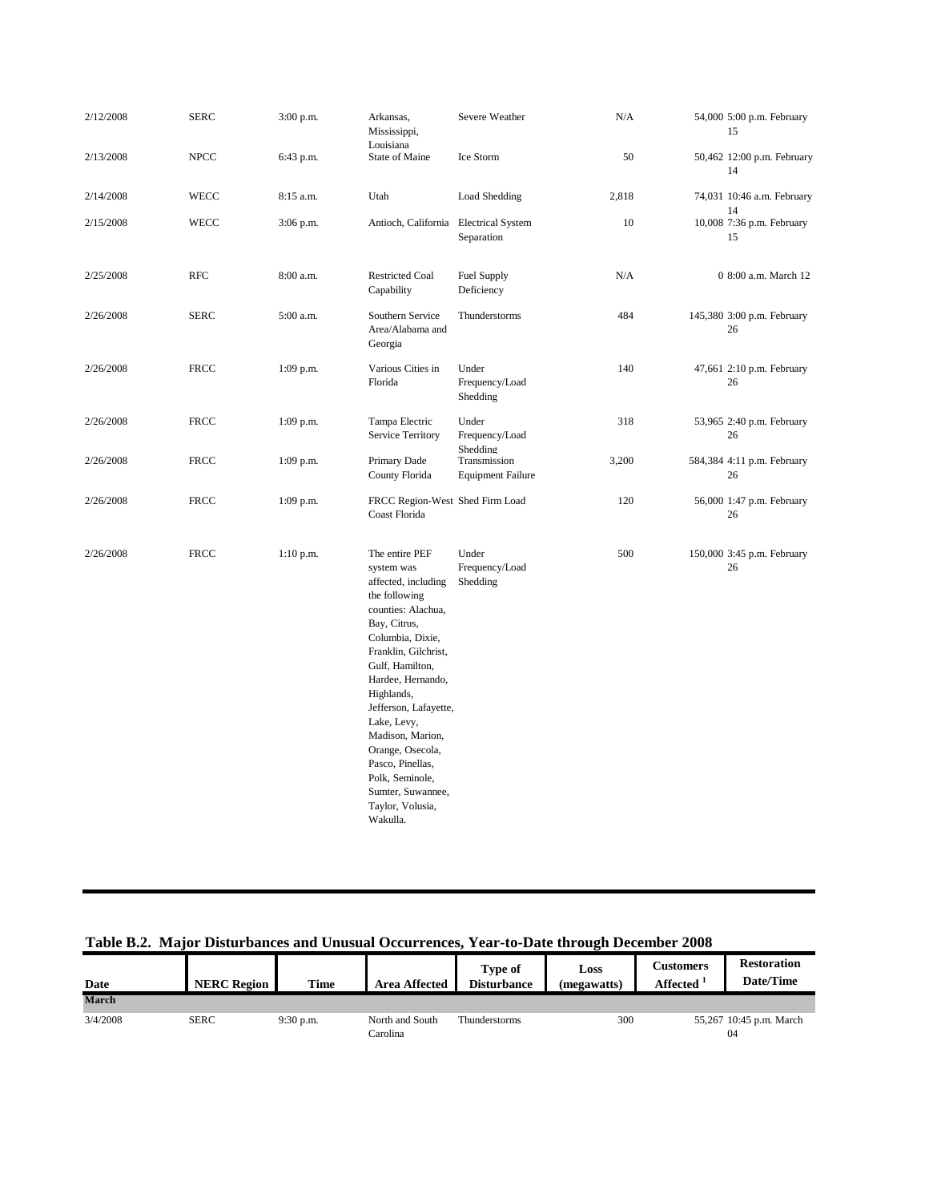| 2/12/2008 | <b>SERC</b> | 3:00 p.m.   | Arkansas,<br>Mississippi,<br>Louisiana                                                                                                                                                                                                                                                                                                                                                   | Severe Weather                           | N/A   | 54,000 5:00 p.m. February<br>15  |
|-----------|-------------|-------------|------------------------------------------------------------------------------------------------------------------------------------------------------------------------------------------------------------------------------------------------------------------------------------------------------------------------------------------------------------------------------------------|------------------------------------------|-------|----------------------------------|
| 2/13/2008 | <b>NPCC</b> | 6:43 p.m.   | State of Maine                                                                                                                                                                                                                                                                                                                                                                           | Ice Storm                                | 50    | 50,462 12:00 p.m. February<br>14 |
| 2/14/2008 | WECC        | 8:15 a.m.   | Utah                                                                                                                                                                                                                                                                                                                                                                                     | Load Shedding                            | 2,818 | 74,031 10:46 a.m. February<br>14 |
| 2/15/2008 | WECC        | 3:06 p.m.   | Antioch, California                                                                                                                                                                                                                                                                                                                                                                      | <b>Electrical System</b><br>Separation   | 10    | 10,008 7:36 p.m. February<br>15  |
| 2/25/2008 | <b>RFC</b>  | 8:00 a.m.   | <b>Restricted Coal</b><br>Capability                                                                                                                                                                                                                                                                                                                                                     | Fuel Supply<br>Deficiency                | N/A   | 0 8:00 a.m. March 12             |
| 2/26/2008 | <b>SERC</b> | 5:00 a.m.   | Southern Service<br>Area/Alabama and<br>Georgia                                                                                                                                                                                                                                                                                                                                          | Thunderstorms                            | 484   | 145,380 3:00 p.m. February<br>26 |
| 2/26/2008 | <b>FRCC</b> | $1:09$ p.m. | Various Cities in<br>Florida                                                                                                                                                                                                                                                                                                                                                             | Under<br>Frequency/Load<br>Shedding      | 140   | 47,661 2:10 p.m. February<br>26  |
| 2/26/2008 | <b>FRCC</b> | $1:09$ p.m. | Tampa Electric<br>Service Territory                                                                                                                                                                                                                                                                                                                                                      | Under<br>Frequency/Load<br>Shedding      | 318   | 53,965 2:40 p.m. February<br>26  |
| 2/26/2008 | <b>FRCC</b> | $1:09$ p.m. | Primary Dade<br>County Florida                                                                                                                                                                                                                                                                                                                                                           | Transmission<br><b>Equipment Failure</b> | 3,200 | 584,384 4:11 p.m. February<br>26 |
| 2/26/2008 | <b>FRCC</b> | $1:09$ p.m. | FRCC Region-West Shed Firm Load<br>Coast Florida                                                                                                                                                                                                                                                                                                                                         |                                          | 120   | 56,000 1:47 p.m. February<br>26  |
| 2/26/2008 | <b>FRCC</b> | $1:10$ p.m. | The entire PEF<br>system was<br>affected, including<br>the following<br>counties: Alachua,<br>Bay, Citrus,<br>Columbia, Dixie,<br>Franklin, Gilchrist,<br>Gulf, Hamilton,<br>Hardee, Hernando,<br>Highlands,<br>Jefferson, Lafayette,<br>Lake, Levy,<br>Madison, Marion,<br>Orange, Osecola,<br>Pasco, Pinellas,<br>Polk, Seminole,<br>Sumter, Suwannee,<br>Taylor, Volusia,<br>Wakulla. | Under<br>Frequency/Load<br>Shedding      | 500   | 150,000 3:45 p.m. February<br>26 |

## Table B.2. Major Disturbances and Unusual Occurrences, Year-to-Date through December 2008

| Date         | <b>NERC Region</b> | <b>Time</b> | <b>Area Affected</b>        | Type of<br><b>Disturbance</b> | Loss<br>(megawatts) | <b>Customers</b><br><b>Affected</b> | <b>Restoration</b><br>Date/Time |
|--------------|--------------------|-------------|-----------------------------|-------------------------------|---------------------|-------------------------------------|---------------------------------|
| <b>March</b> |                    |             |                             |                               |                     |                                     |                                 |
| 3/4/2008     | <b>SERC</b>        | $9:30$ p.m. | North and South<br>Carolina | Thunderstorms                 | 300                 |                                     | 55,267 10:45 p.m. March<br>04   |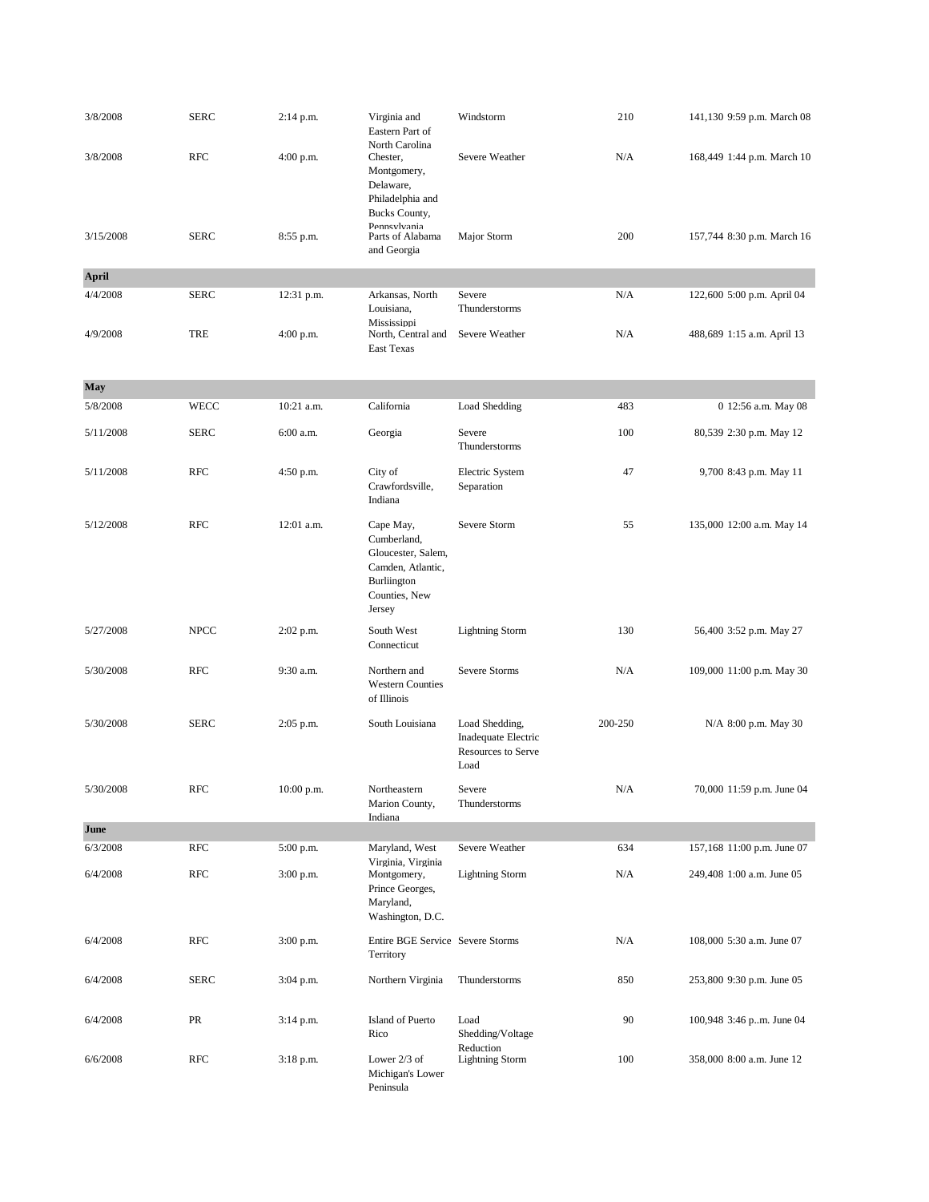| 3/8/2008     | <b>SERC</b> | $2:14$ p.m. | Virginia and<br>Eastern Part of<br>North Carolina                                                             | Windstorm                                                           | 210     | 141,130 9:59 p.m. March 08 |
|--------------|-------------|-------------|---------------------------------------------------------------------------------------------------------------|---------------------------------------------------------------------|---------|----------------------------|
| 3/8/2008     | <b>RFC</b>  | $4:00$ p.m. | Chester,<br>Montgomery,<br>Delaware,<br>Philadelphia and<br>Bucks County,                                     | Severe Weather                                                      | N/A     | 168,449 1:44 p.m. March 10 |
| 3/15/2008    | <b>SERC</b> | 8:55 p.m.   | Pennsylvania<br>Parts of Alabama<br>and Georgia                                                               | Major Storm                                                         | 200     | 157,744 8:30 p.m. March 16 |
| <b>April</b> |             |             |                                                                                                               |                                                                     |         |                            |
| 4/4/2008     | <b>SERC</b> | 12:31 p.m.  | Arkansas, North<br>Louisiana,<br>Mississippi                                                                  | Severe<br>Thunderstorms                                             | N/A     | 122,600 5:00 p.m. April 04 |
| 4/9/2008     | <b>TRE</b>  | $4:00$ p.m. | North, Central and<br><b>East Texas</b>                                                                       | Severe Weather                                                      | N/A     | 488,689 1:15 a.m. April 13 |
| May          |             |             |                                                                                                               |                                                                     |         |                            |
| 5/8/2008     | WECC        | 10:21 a.m.  | California                                                                                                    | Load Shedding                                                       | 483     | 0 12:56 a.m. May 08        |
| 5/11/2008    | <b>SERC</b> | 6:00 a.m.   | Georgia                                                                                                       | Severe<br>Thunderstorms                                             | 100     | 80,539 2:30 p.m. May 12    |
| 5/11/2008    | <b>RFC</b>  | $4:50$ p.m. | City of<br>Crawfordsville,<br>Indiana                                                                         | Electric System<br>Separation                                       | 47      | 9,700 8:43 p.m. May 11     |
| 5/12/2008    | <b>RFC</b>  | 12:01 a.m.  | Cape May,<br>Cumberland,<br>Gloucester, Salem,<br>Camden, Atlantic,<br>Burliington<br>Counties, New<br>Jersey | Severe Storm                                                        | 55      | 135,000 12:00 a.m. May 14  |
| 5/27/2008    | <b>NPCC</b> | $2:02$ p.m. | South West<br>Connecticut                                                                                     | <b>Lightning Storm</b>                                              | 130     | 56,400 3:52 p.m. May 27    |
| 5/30/2008    | <b>RFC</b>  | 9:30 a.m.   | Northern and<br><b>Western Counties</b><br>of Illinois                                                        | Severe Storms                                                       | N/A     | 109,000 11:00 p.m. May 30  |
| 5/30/2008    | <b>SERC</b> | $2:05$ p.m. | South Louisiana                                                                                               | Load Shedding,<br>Inadequate Electric<br>Resources to Serve<br>Load | 200-250 | N/A 8:00 p.m. May 30       |
| 5/30/2008    | <b>RFC</b>  | 10:00 p.m.  | Northeastern<br>Marion County,<br>Indiana                                                                     | Severe<br>Thunderstorms                                             | N/A     | 70,000 11:59 p.m. June 04  |
| June         |             |             |                                                                                                               |                                                                     |         |                            |
| 6/3/2008     | <b>RFC</b>  | 5:00 p.m.   | Maryland, West                                                                                                | Severe Weather                                                      | 634     | 157,168 11:00 p.m. June 07 |
| 6/4/2008     | <b>RFC</b>  | $3:00$ p.m. | Virginia, Virginia<br>Montgomery,<br>Prince Georges,<br>Maryland,<br>Washington, D.C.                         | <b>Lightning Storm</b>                                              | N/A     | 249,408 1:00 a.m. June 05  |
| 6/4/2008     | <b>RFC</b>  | $3:00$ p.m. | Entire BGE Service Severe Storms<br>Territory                                                                 |                                                                     | N/A     | 108,000 5:30 a.m. June 07  |
| 6/4/2008     | <b>SERC</b> | 3:04 p.m.   | Northern Virginia                                                                                             | Thunderstorms                                                       | 850     | 253,800 9:30 p.m. June 05  |
| 6/4/2008     | PR          | $3:14$ p.m. | Island of Puerto<br>Rico                                                                                      | Load<br>Shedding/Voltage<br>Reduction                               | 90      | 100,948 3:46 p.m. June 04  |
| 6/6/2008     | <b>RFC</b>  | $3:18$ p.m. | Lower $2/3$ of<br>Michigan's Lower<br>Peninsula                                                               | <b>Lightning Storm</b>                                              | 100     | 358,000 8:00 a.m. June 12  |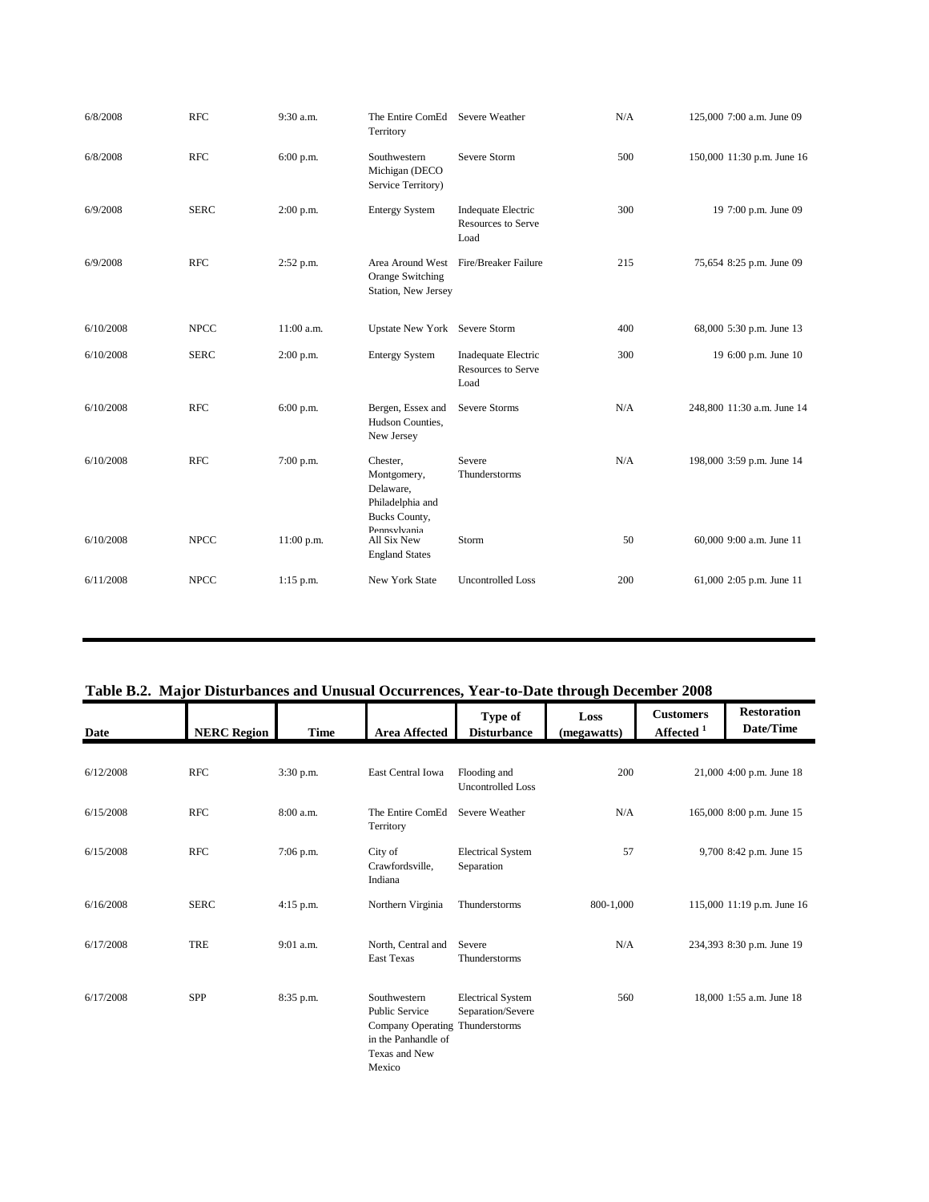| 6/8/2008  | <b>RFC</b>  | 9:30 a.m.   | The Entire ComEd<br>Territory                                             | Severe Weather                                    | N/A | 125,000 7:00 a.m. June 09  |
|-----------|-------------|-------------|---------------------------------------------------------------------------|---------------------------------------------------|-----|----------------------------|
| 6/8/2008  | <b>RFC</b>  | $6:00$ p.m. | Southwestern<br>Michigan (DECO<br>Service Territory)                      | Severe Storm                                      | 500 | 150,000 11:30 p.m. June 16 |
| 6/9/2008  | <b>SERC</b> | 2:00 p.m.   | <b>Entergy System</b>                                                     | Indequate Electric<br>Resources to Serve<br>Load  | 300 | 19 7:00 p.m. June 09       |
| 6/9/2008  | <b>RFC</b>  | 2:52 p.m.   | Orange Switching<br>Station, New Jersey                                   | Area Around West Fire/Breaker Failure             | 215 | 75,654 8:25 p.m. June 09   |
| 6/10/2008 | <b>NPCC</b> | 11:00 a.m.  | Upstate New York Severe Storm                                             |                                                   | 400 | 68,000 5:30 p.m. June 13   |
| 6/10/2008 | <b>SERC</b> | $2:00$ p.m. | <b>Entergy System</b>                                                     | Inadequate Electric<br>Resources to Serve<br>Load | 300 | 19 6:00 p.m. June 10       |
| 6/10/2008 | <b>RFC</b>  | 6:00 p.m.   | Bergen, Essex and<br>Hudson Counties,<br>New Jersey                       | Severe Storms                                     | N/A | 248,800 11:30 a.m. June 14 |
| 6/10/2008 | <b>RFC</b>  | 7:00 p.m.   | Chester,<br>Montgomery,<br>Delaware,<br>Philadelphia and<br>Bucks County, | Severe<br>Thunderstorms                           | N/A | 198,000 3:59 p.m. June 14  |
| 6/10/2008 | <b>NPCC</b> | 11:00 p.m.  | Pennsylvania<br>All Six New<br><b>England States</b>                      | Storm                                             | 50  | 60,000 9:00 a.m. June 11   |
| 6/11/2008 | <b>NPCC</b> | $1:15$ p.m. | New York State                                                            | <b>Uncontrolled Loss</b>                          | 200 | 61,000 2:05 p.m. June 11   |
|           |             |             |                                                                           |                                                   |     |                            |

## Table B.2. Major Disturbances and Unusual Occurrences, Year-to-Date through December 2008

|           | Table D.2. Inajur Distantiances and Unusual Occurrences, Tear-to-Date un ough December 2006 |             |                                                                                                                            |                                               |                     |                                           |                                 |  |
|-----------|---------------------------------------------------------------------------------------------|-------------|----------------------------------------------------------------------------------------------------------------------------|-----------------------------------------------|---------------------|-------------------------------------------|---------------------------------|--|
| Date      | <b>NERC Region</b>                                                                          | <b>Time</b> | <b>Area Affected</b>                                                                                                       | Type of<br><b>Disturbance</b>                 | Loss<br>(megawatts) | <b>Customers</b><br>Affected <sup>1</sup> | <b>Restoration</b><br>Date/Time |  |
| 6/12/2008 | <b>RFC</b>                                                                                  | 3:30 p.m.   | East Central Iowa                                                                                                          | Flooding and<br><b>Uncontrolled Loss</b>      | 200                 |                                           | 21,000 4:00 p.m. June 18        |  |
| 6/15/2008 | <b>RFC</b>                                                                                  | $8:00$ a.m. | The Entire ComEd<br>Territory                                                                                              | Severe Weather                                | N/A                 |                                           | 165,000 8:00 p.m. June 15       |  |
| 6/15/2008 | <b>RFC</b>                                                                                  | 7:06 p.m.   | City of<br>Crawfordsville,<br>Indiana                                                                                      | <b>Electrical System</b><br>Separation        | 57                  |                                           | 9,700 8:42 p.m. June 15         |  |
| 6/16/2008 | <b>SERC</b>                                                                                 | 4:15 p.m.   | Northern Virginia                                                                                                          | Thunderstorms                                 | 800-1,000           |                                           | 115,000 11:19 p.m. June 16      |  |
| 6/17/2008 | <b>TRE</b>                                                                                  | 9:01 a.m.   | North, Central and<br><b>East Texas</b>                                                                                    | Severe<br>Thunderstorms                       | N/A                 |                                           | 234,393 8:30 p.m. June 19       |  |
| 6/17/2008 | <b>SPP</b>                                                                                  | 8:35 p.m.   | Southwestern<br><b>Public Service</b><br>Company Operating Thunderstorms<br>in the Panhandle of<br>Texas and New<br>Mexico | <b>Electrical System</b><br>Separation/Severe | 560                 |                                           | 18,000 1:55 a.m. June 18        |  |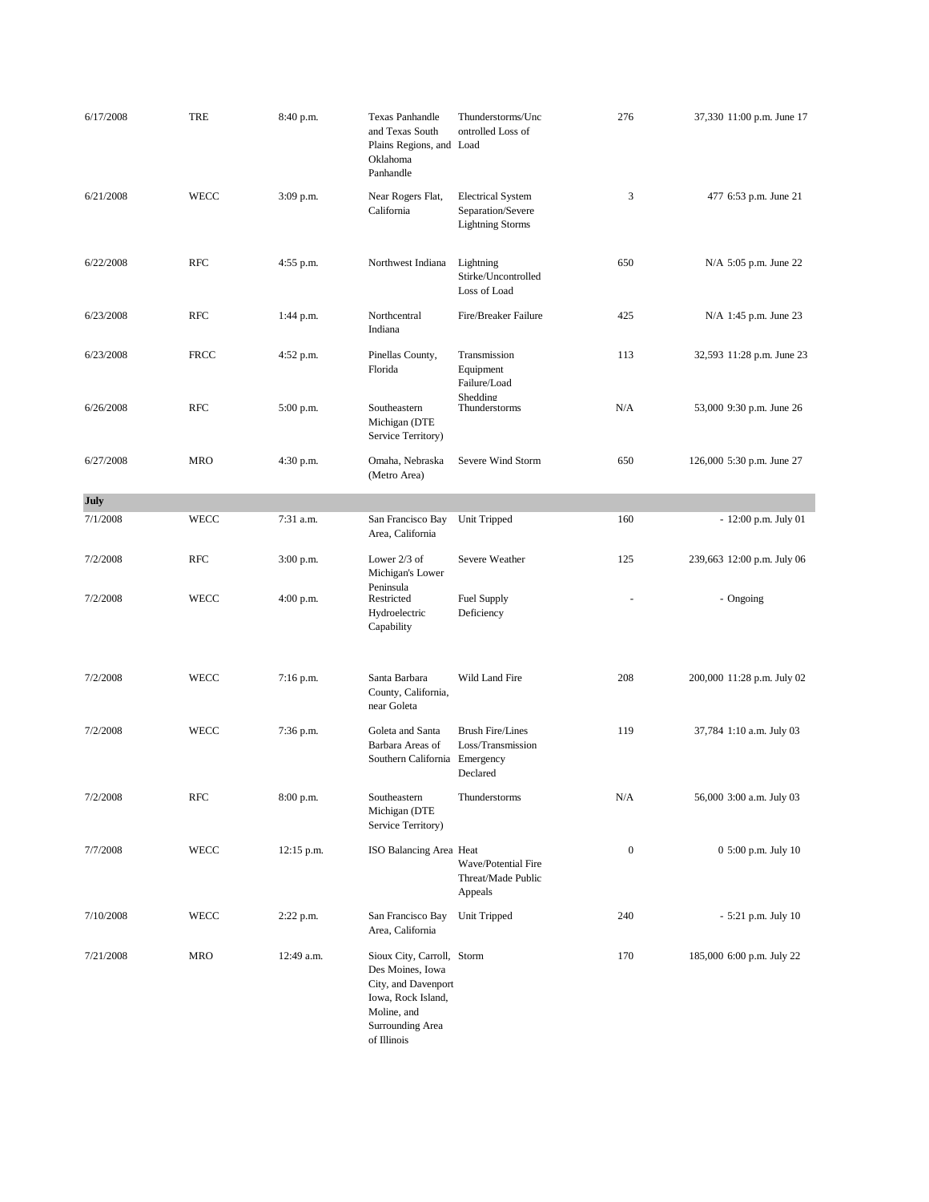| 6/17/2008 | <b>TRE</b>  | 8:40 p.m.    | <b>Texas Panhandle</b><br>and Texas South<br>Plains Regions, and Load<br>Oklahoma<br>Panhandle                                                | Thunderstorms/Unc<br>ontrolled Loss of                                   | 276              | 37,330 11:00 p.m. June 17  |
|-----------|-------------|--------------|-----------------------------------------------------------------------------------------------------------------------------------------------|--------------------------------------------------------------------------|------------------|----------------------------|
| 6/21/2008 | <b>WECC</b> | 3:09 p.m.    | Near Rogers Flat,<br>California                                                                                                               | <b>Electrical System</b><br>Separation/Severe<br><b>Lightning Storms</b> | 3                | 477 6:53 p.m. June 21      |
| 6/22/2008 | <b>RFC</b>  | 4:55 p.m.    | Northwest Indiana                                                                                                                             | Lightning<br>Stirke/Uncontrolled<br>Loss of Load                         | 650              | N/A 5:05 p.m. June 22      |
| 6/23/2008 | <b>RFC</b>  | 1:44 p.m.    | Northcentral<br>Indiana                                                                                                                       | Fire/Breaker Failure                                                     | 425              | N/A 1:45 p.m. June 23      |
| 6/23/2008 | <b>FRCC</b> | 4:52 p.m.    | Pinellas County,<br>Florida                                                                                                                   | Transmission<br>Equipment<br>Failure/Load<br>Shedding                    | 113              | 32,593 11:28 p.m. June 23  |
| 6/26/2008 | <b>RFC</b>  | 5:00 p.m.    | Southeastern<br>Michigan (DTE<br>Service Territory)                                                                                           | Thunderstorms                                                            | N/A              | 53,000 9:30 p.m. June 26   |
| 6/27/2008 | <b>MRO</b>  | 4:30 p.m.    | Omaha, Nebraska<br>(Metro Area)                                                                                                               | Severe Wind Storm                                                        | 650              | 126,000 5:30 p.m. June 27  |
| July      |             |              |                                                                                                                                               |                                                                          |                  |                            |
| 7/1/2008  | WECC        | 7:31 a.m.    | San Francisco Bay<br>Area, California                                                                                                         | Unit Tripped                                                             | 160              | $-12:00$ p.m. July 01      |
| 7/2/2008  | <b>RFC</b>  | $3:00$ p.m.  | Lower $2/3$ of<br>Michigan's Lower                                                                                                            | Severe Weather                                                           | 125              | 239,663 12:00 p.m. July 06 |
| 7/2/2008  | WECC        | $4:00$ p.m.  | Peninsula<br>Restricted<br>Hydroelectric<br>Capability                                                                                        | Fuel Supply<br>Deficiency                                                |                  | - Ongoing                  |
| 7/2/2008  | WECC        | $7:16$ p.m.  | Santa Barbara<br>County, California,<br>near Goleta                                                                                           | Wild Land Fire                                                           | 208              | 200,000 11:28 p.m. July 02 |
| 7/2/2008  | WECC        | 7:36 p.m.    | Goleta and Santa<br>Barbara Areas of<br>Southern California                                                                                   | <b>Brush Fire/Lines</b><br>Loss/Transmission<br>Emergency<br>Declared    | 119              | 37,784 1:10 a.m. July 03   |
| 7/2/2008  | <b>RFC</b>  | 8:00 p.m.    | Southeastern<br>Michigan (DTE<br>Service Territory)                                                                                           | Thunderstorms                                                            | N/A              | 56,000 3:00 a.m. July 03   |
| 7/7/2008  | WECC        | $12:15$ p.m. | ISO Balancing Area Heat                                                                                                                       | Wave/Potential Fire<br>Threat/Made Public<br>Appeals                     | $\boldsymbol{0}$ | 0 5:00 p.m. July 10        |
| 7/10/2008 | WECC        | 2:22 p.m.    | San Francisco Bay<br>Area, California                                                                                                         | Unit Tripped                                                             | 240              | $-5:21$ p.m. July 10       |
| 7/21/2008 | <b>MRO</b>  | 12:49 a.m.   | Sioux City, Carroll, Storm<br>Des Moines, Iowa<br>City, and Davenport<br>Iowa, Rock Island,<br>Moline, and<br>Surrounding Area<br>of Illinois |                                                                          | 170              | 185,000 6:00 p.m. July 22  |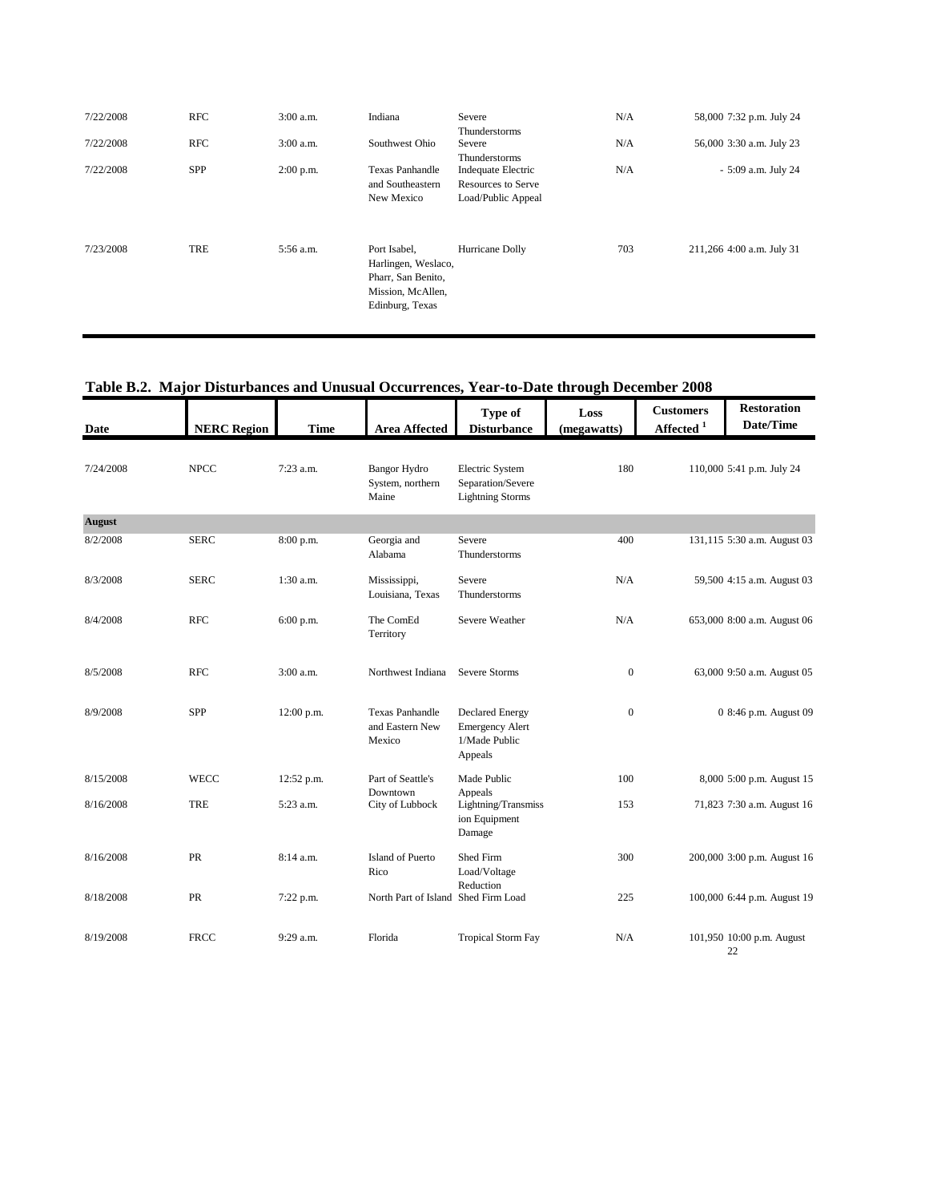| 7/22/2008 | RFC        | $3:00$ a.m. | Indiana                                                                                           | Severe<br>Thunderstorms                                               | N/A | 58,000 7:32 p.m. July 24  |
|-----------|------------|-------------|---------------------------------------------------------------------------------------------------|-----------------------------------------------------------------------|-----|---------------------------|
| 7/22/2008 | <b>RFC</b> | $3:00$ a.m. | Southwest Ohio                                                                                    | Severe<br>Thunderstorms                                               | N/A | 56,000 3:30 a.m. July 23  |
| 7/22/2008 | <b>SPP</b> | $2:00$ p.m. | <b>Texas Panhandle</b><br>and Southeastern<br>New Mexico                                          | Indequate Electric<br><b>Resources to Serve</b><br>Load/Public Appeal | N/A | - 5:09 a.m. July 24       |
| 7/23/2008 | TRE        | 5:56 a.m.   | Port Isabel,<br>Harlingen, Weslaco,<br>Pharr, San Benito,<br>Mission, McAllen,<br>Edinburg, Texas | Hurricane Dolly                                                       | 703 | 211,266 4:00 a.m. July 31 |

#### **Table B.2. Major Disturbances and Unusual Occurrences, Year-to-Date through December 2008 Number 2000**

| Date          | <b>NERC Region</b> | <b>Time</b> | <b>Area Affected</b>                                | Type of<br><b>Disturbance</b>                                                | Loss<br>(megawatts) | <b>Customers</b><br>Affected <sup>1</sup> | <b>Restoration</b><br>Date/Time |
|---------------|--------------------|-------------|-----------------------------------------------------|------------------------------------------------------------------------------|---------------------|-------------------------------------------|---------------------------------|
| 7/24/2008     | <b>NPCC</b>        | $7:23$ a.m. | <b>Bangor Hydro</b><br>System, northern<br>Maine    | Electric System<br>Separation/Severe<br><b>Lightning Storms</b>              | 180                 |                                           | 110,000 5:41 p.m. July 24       |
| <b>August</b> |                    |             |                                                     |                                                                              |                     |                                           |                                 |
| 8/2/2008      | <b>SERC</b>        | 8:00 p.m.   | Georgia and<br>Alabama                              | Severe<br>Thunderstorms                                                      | 400                 |                                           | 131,115 5:30 a.m. August 03     |
| 8/3/2008      | <b>SERC</b>        | $1:30$ a.m. | Mississippi,<br>Louisiana, Texas                    | Severe<br>Thunderstorms                                                      | N/A                 |                                           | 59,500 4:15 a.m. August 03      |
| 8/4/2008      | <b>RFC</b>         | 6:00 p.m.   | The ComEd<br>Territory                              | Severe Weather                                                               | N/A                 |                                           | 653,000 8:00 a.m. August 06     |
| 8/5/2008      | <b>RFC</b>         | 3:00 a.m.   | Northwest Indiana                                   | Severe Storms                                                                | $\boldsymbol{0}$    |                                           | 63,000 9:50 a.m. August 05      |
| 8/9/2008      | <b>SPP</b>         | 12:00 p.m.  | <b>Texas Panhandle</b><br>and Eastern New<br>Mexico | <b>Declared Energy</b><br><b>Emergency Alert</b><br>1/Made Public<br>Appeals | $\mathbf{0}$        |                                           | 0 8:46 p.m. August 09           |
| 8/15/2008     | <b>WECC</b>        | 12:52 p.m.  | Part of Seattle's<br>Downtown                       | Made Public<br>Appeals                                                       | 100                 |                                           | 8,000 5:00 p.m. August 15       |
| 8/16/2008     | <b>TRE</b>         | 5:23 a.m.   | City of Lubbock                                     | Lightning/Transmiss<br>ion Equipment<br>Damage                               | 153                 |                                           | 71,823 7:30 a.m. August 16      |
| 8/16/2008     | PR                 | 8:14 a.m.   | Island of Puerto<br>Rico                            | Shed Firm<br>Load/Voltage                                                    | 300                 |                                           | 200,000 3:00 p.m. August 16     |
| 8/18/2008     | PR                 | 7:22 p.m.   | North Part of Island Shed Firm Load                 | Reduction                                                                    | 225                 |                                           | 100,000 6:44 p.m. August 19     |
| 8/19/2008     | <b>FRCC</b>        | 9:29 a.m.   | Florida                                             | <b>Tropical Storm Fay</b>                                                    | N/A                 |                                           | 101,950 10:00 p.m. August<br>22 |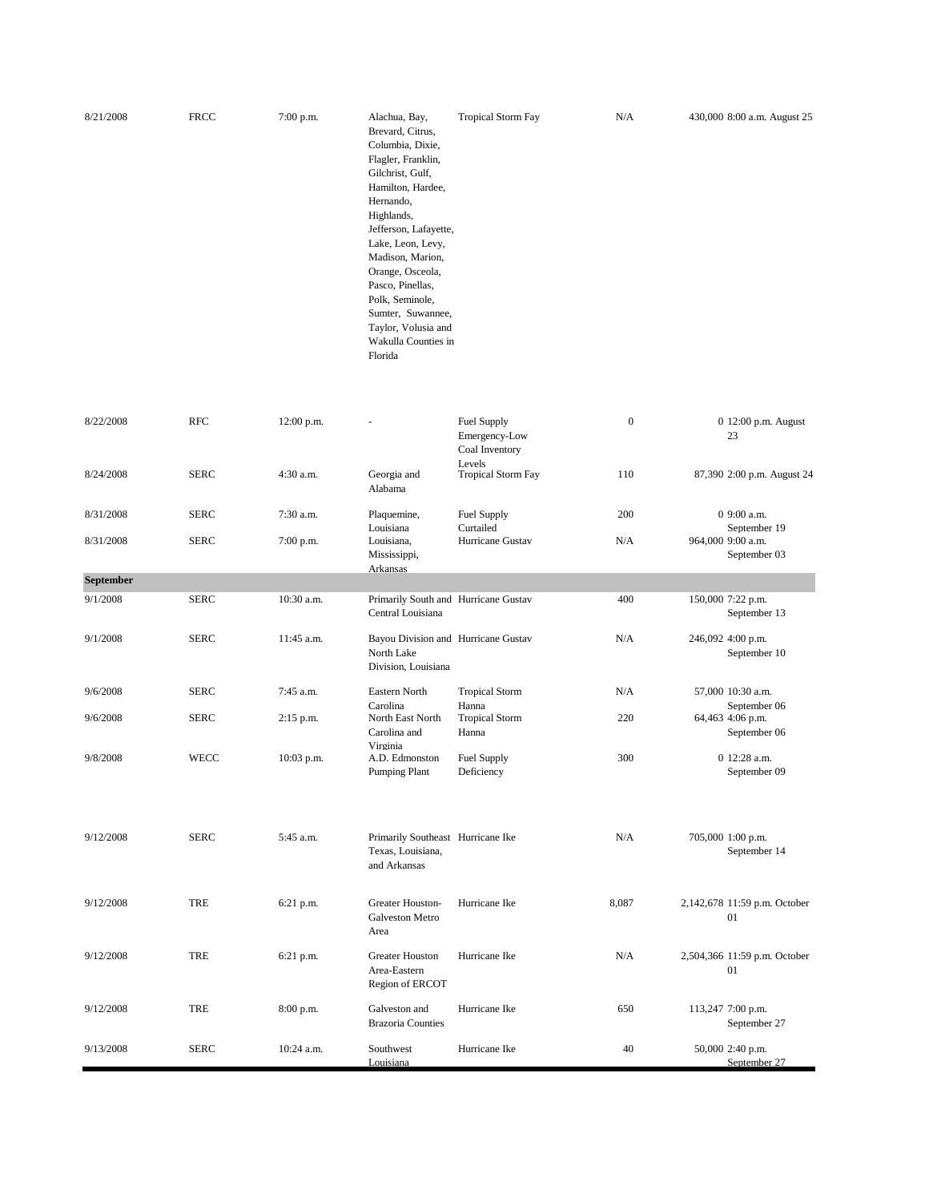| 8/21/2008 | <b>FRCC</b> | $7:00$ p.m. | Alachua, Bay,<br>Brevard, Citrus,<br>Columbia, Dixie,<br>Flagler, Franklin,<br>Gilchrist, Gulf,<br>Hamilton, Hardee,<br>Hernando,<br>Highlands,<br>Jefferson, Lafayette,<br>Lake, Leon, Levy,<br>Madison, Marion,<br>Orange, Osceola,<br>Pasco, Pinellas,<br>Polk, Seminole,<br>Sumter, Suwannee, | <b>Tropical Storm Fay</b> | N/A | 430,000 8:00 a.m. August 25 |
|-----------|-------------|-------------|---------------------------------------------------------------------------------------------------------------------------------------------------------------------------------------------------------------------------------------------------------------------------------------------------|---------------------------|-----|-----------------------------|
|           |             |             | Taylor, Volusia and                                                                                                                                                                                                                                                                               |                           |     |                             |
|           |             |             | Wakulla Counties in<br>Florida                                                                                                                                                                                                                                                                    |                           |     |                             |

| 8/22/2008        | <b>RFC</b>  | 12:00 p.m.  |                                                                          | Fuel Supply<br>Emergency-Low<br>Coal Inventory<br><b>Levels</b> | $\boldsymbol{0}$ | 0 12:00 p.m. August<br>23          |
|------------------|-------------|-------------|--------------------------------------------------------------------------|-----------------------------------------------------------------|------------------|------------------------------------|
| 8/24/2008        | <b>SERC</b> | 4:30 a.m.   | Georgia and<br>Alabama                                                   | <b>Tropical Storm Fay</b>                                       | 110              | 87,390 2:00 p.m. August 24         |
| 8/31/2008        | <b>SERC</b> | 7:30 a.m.   | Plaquemine,<br>Louisiana                                                 | Fuel Supply<br>Curtailed                                        | 200              | 0 9:00 a.m.<br>September 19        |
| 8/31/2008        | <b>SERC</b> | 7:00 p.m.   | Louisiana,<br>Mississippi,<br>Arkansas                                   | Hurricane Gustav                                                | N/A              | 964,000 9:00 a.m.<br>September 03  |
| <b>September</b> |             |             |                                                                          |                                                                 |                  |                                    |
| 9/1/2008         | <b>SERC</b> | 10:30 a.m.  | Primarily South and Hurricane Gustav<br>Central Louisiana                |                                                                 | 400              | 150,000 7:22 p.m.<br>September 13  |
| 9/1/2008         | <b>SERC</b> | 11:45 a.m.  | Bayou Division and Hurricane Gustav<br>North Lake<br>Division, Louisiana |                                                                 | N/A              | 246,092 4:00 p.m.<br>September 10  |
| 9/6/2008         | <b>SERC</b> | 7:45 a.m.   | Eastern North<br>Carolina                                                | <b>Tropical Storm</b><br>Hanna                                  | N/A              | 57,000 10:30 a.m.<br>September 06  |
| 9/6/2008         | <b>SERC</b> | $2:15$ p.m. | North East North<br>Carolina and                                         | <b>Tropical Storm</b><br>Hanna                                  | 220              | 64,463 4:06 p.m.<br>September 06   |
| 9/8/2008         | WECC        | 10:03 p.m.  | Virginia<br>A.D. Edmonston<br><b>Pumping Plant</b>                       | Fuel Supply<br>Deficiency                                       | 300              | 0 12:28 a.m.<br>September 09       |
| 9/12/2008        | <b>SERC</b> | 5:45 a.m.   | Primarily Southeast Hurricane Ike<br>Texas, Louisiana,<br>and Arkansas   |                                                                 | N/A              | 705,000 1:00 p.m.<br>September 14  |
| 9/12/2008        | <b>TRE</b>  | 6:21 p.m.   | Greater Houston-<br><b>Galveston Metro</b><br>Area                       | Hurricane Ike                                                   | 8,087            | 2,142,678 11:59 p.m. October<br>01 |
| 9/12/2008        | <b>TRE</b>  | $6:21$ p.m. | <b>Greater Houston</b><br>Area-Eastern<br>Region of ERCOT                | Hurricane Ike                                                   | N/A              | 2,504,366 11:59 p.m. October<br>01 |
| 9/12/2008        | <b>TRE</b>  | $8:00$ p.m. | Galveston and<br><b>Brazoria Counties</b>                                | Hurricane Ike                                                   | 650              | 113,247 7:00 p.m.<br>September 27  |
| 9/13/2008        | <b>SERC</b> | 10:24 a.m.  | Southwest<br>Louisiana                                                   | Hurricane Ike                                                   | 40               | 50,000 2:40 p.m.<br>September 27   |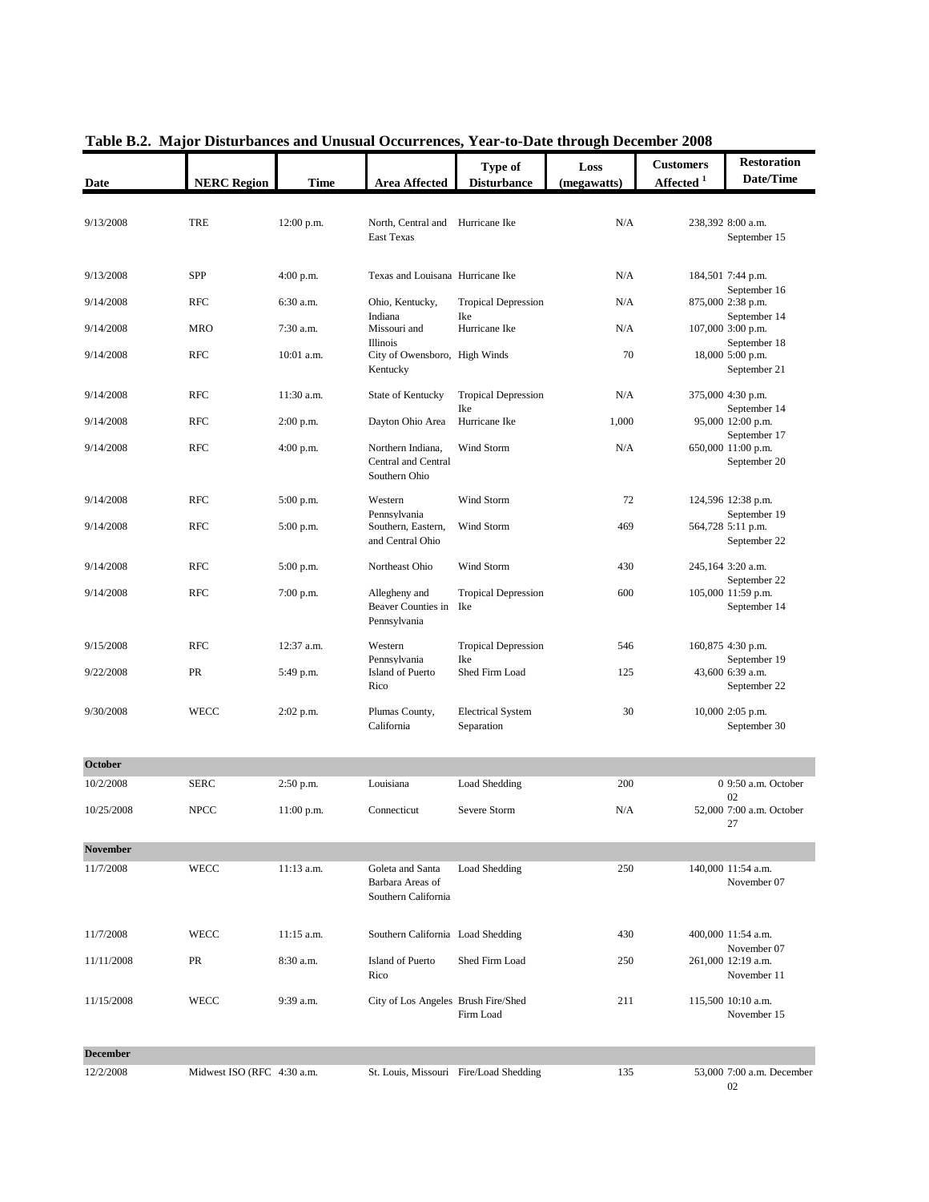| Date            | <b>NERC Region</b>         | <b>Time</b>  | <b>Area Affected</b>                                        | Type of<br><b>Disturbance</b>          | Loss<br>(megawatts) | <b>Customers</b><br>Affected <sup>1</sup> | <b>Restoration</b><br>Date/Time                   |
|-----------------|----------------------------|--------------|-------------------------------------------------------------|----------------------------------------|---------------------|-------------------------------------------|---------------------------------------------------|
|                 |                            |              |                                                             |                                        |                     |                                           |                                                   |
| 9/13/2008       | <b>TRE</b>                 | 12:00 p.m.   | North, Central and<br><b>East Texas</b>                     | Hurricane Ike                          | N/A                 |                                           | 238,392 8:00 a.m.<br>September 15                 |
| 9/13/2008       | <b>SPP</b>                 | $4:00$ p.m.  | Texas and Louisana Hurricane Ike                            |                                        | N/A                 |                                           | 184,501 7:44 p.m.                                 |
| 9/14/2008       | <b>RFC</b>                 | 6:30 a.m.    | Ohio, Kentucky,<br>Indiana                                  | <b>Tropical Depression</b><br>Ike      | N/A                 |                                           | September 16<br>875,000 2:38 p.m.<br>September 14 |
| 9/14/2008       | <b>MRO</b>                 | 7:30 a.m.    | Missouri and<br><b>Illinois</b>                             | Hurricane Ike                          | N/A                 |                                           | 107,000 3:00 p.m.<br>September 18                 |
| 9/14/2008       | <b>RFC</b>                 | 10:01 a.m.   | City of Owensboro, High Winds<br>Kentucky                   |                                        | 70                  |                                           | 18,000 5:00 p.m.<br>September 21                  |
| 9/14/2008       | <b>RFC</b>                 | 11:30 a.m.   | State of Kentucky                                           | <b>Tropical Depression</b><br>Ike      | N/A                 |                                           | 375,000 4:30 p.m.<br>September 14                 |
| 9/14/2008       | <b>RFC</b>                 | $2:00$ p.m.  | Dayton Ohio Area                                            | Hurricane Ike                          | 1,000               |                                           | 95,000 12:00 p.m.<br>September 17                 |
| 9/14/2008       | <b>RFC</b>                 | $4:00$ p.m.  | Northern Indiana,<br>Central and Central<br>Southern Ohio   | Wind Storm                             | N/A                 |                                           | 650,000 11:00 p.m.<br>September 20                |
| 9/14/2008       | <b>RFC</b>                 | $5:00$ p.m.  | Western<br>Pennsylvania                                     | Wind Storm                             | 72                  |                                           | 124,596 12:38 p.m.<br>September 19                |
| 9/14/2008       | <b>RFC</b>                 | 5:00 p.m.    | Southern, Eastern,<br>and Central Ohio                      | Wind Storm                             | 469                 |                                           | 564,728 5:11 p.m.<br>September 22                 |
| 9/14/2008       | <b>RFC</b>                 | 5:00 p.m.    | Northeast Ohio                                              | Wind Storm                             | 430                 |                                           | 245,164 3:20 a.m.<br>September 22                 |
| 9/14/2008       | <b>RFC</b>                 | 7:00 p.m.    | Allegheny and<br>Beaver Counties in Ike<br>Pennsylvania     | <b>Tropical Depression</b>             | 600                 |                                           | 105,000 11:59 p.m.<br>September 14                |
| 9/15/2008       | <b>RFC</b>                 | $12:37$ a.m. | Western<br>Pennsylvania                                     | <b>Tropical Depression</b>             | 546                 |                                           | 160,875 4:30 p.m.<br>September 19                 |
| 9/22/2008       | PR                         | 5:49 p.m.    | Island of Puerto<br>Rico                                    | Ike<br>Shed Firm Load                  | 125                 |                                           | 43,600 6:39 a.m.<br>September 22                  |
| 9/30/2008       | <b>WECC</b>                | $2:02$ p.m.  | Plumas County,<br>California                                | <b>Electrical System</b><br>Separation | 30                  |                                           | 10,000 2:05 p.m.<br>September 30                  |
| October         |                            |              |                                                             |                                        |                     |                                           |                                                   |
| 10/2/2008       | <b>SERC</b>                | $2:50$ p.m.  | Louisiana                                                   | Load Shedding                          | 200                 |                                           | 0 9:50 a.m. October<br>02                         |
| 10/25/2008      | <b>NPCC</b>                | $11:00$ p.m. | Connecticut                                                 | Severe Storm                           | N/A                 |                                           | 52,000 7:00 a.m. October<br>27                    |
| <b>November</b> |                            |              |                                                             |                                        |                     |                                           |                                                   |
| 11/7/2008       | <b>WECC</b>                | $11:13$ a.m. | Goleta and Santa<br>Barbara Areas of<br>Southern California | Load Shedding                          | 250                 |                                           | 140,000 11:54 a.m.<br>November 07                 |
| 11/7/2008       | <b>WECC</b>                | $11:15$ a.m. | Southern California Load Shedding                           |                                        | 430                 |                                           | 400,000 11:54 a.m.                                |
| 11/11/2008      | PR                         | 8:30 a.m.    | Island of Puerto<br>Rico                                    | Shed Firm Load                         | 250                 |                                           | November 07<br>261,000 12:19 a.m.<br>November 11  |
| 11/15/2008      | <b>WECC</b>                | 9:39 a.m.    | City of Los Angeles Brush Fire/Shed                         | Firm Load                              | 211                 |                                           | 115,500 10:10 a.m.<br>November 15                 |
|                 |                            |              |                                                             |                                        |                     |                                           |                                                   |
| <b>December</b> |                            |              |                                                             |                                        |                     |                                           |                                                   |
| 12/2/2008       | Midwest ISO (RFC 4:30 a.m. |              |                                                             | St. Louis, Missouri Fire/Load Shedding | 135                 |                                           | 53,000 7:00 a.m. December<br>02                   |